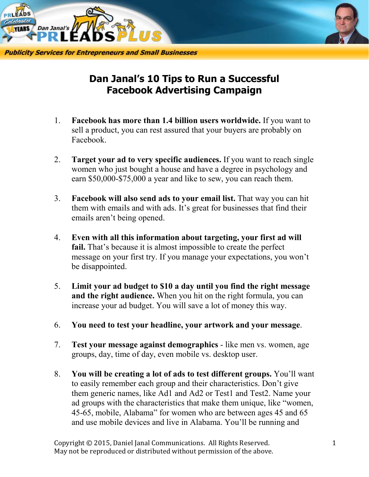

## **Dan Janal's 10 Tips to Run a Successful Facebook Advertising Campaign**

- 1. **Facebook has more than 1.4 billion users worldwide.** If you want to sell a product, you can rest assured that your buyers are probably on Facebook.
- 2. **Target your ad to very specific audiences.** If you want to reach single women who just bought a house and have a degree in psychology and earn \$50,000-\$75,000 a year and like to sew, you can reach them.
- 3. **Facebook will also send ads to your email list.** That way you can hit them with emails and with ads. It's great for businesses that find their emails aren't being opened.
- 4. **Even with all this information about targeting, your first ad will**  fail. That's because it is almost impossible to create the perfect message on your first try. If you manage your expectations, you won't be disappointed.
- 5. **Limit your ad budget to \$10 a day until you find the right message and the right audience.** When you hit on the right formula, you can increase your ad budget. You will save a lot of money this way.
- 6. **You need to test your headline, your artwork and your message**.
- 7. **Test your message against demographics** like men vs. women, age groups, day, time of day, even mobile vs. desktop user.
- 8. **You will be creating a lot of ads to test different groups.** You'll want to easily remember each group and their characteristics. Don't give them generic names, like Ad1 and Ad2 or Test1 and Test2. Name your ad groups with the characteristics that make them unique, like "women, 45-65, mobile, Alabama" for women who are between ages 45 and 65 and use mobile devices and live in Alabama. You'll be running and

Copyright © 2015, Daniel Janal Communications. All Rights Reserved. 1 May not be reproduced or distributed without permission of the above.